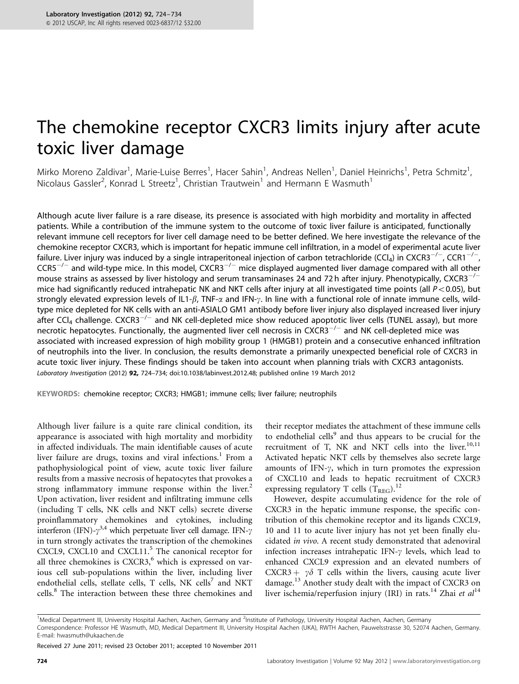# The chemokine receptor CXCR3 limits injury after acute toxic liver damage

Mirko Moreno Zaldivar<sup>1</sup>, Marie-Luise Berres<sup>1</sup>, Hacer Sahin<sup>1</sup>, Andreas Nellen<sup>1</sup>, Daniel Heinrichs<sup>1</sup>, Petra Schmitz<sup>1</sup> , Nicolaus Gassler<sup>2</sup>, Konrad L Streetz<sup>1</sup>, Christian Trautwein<sup>1</sup> and Hermann E Wasmuth<sup>1</sup>

Although acute liver failure is a rare disease, its presence is associated with high morbidity and mortality in affected patients. While a contribution of the immune system to the outcome of toxic liver failure is anticipated, functionally relevant immune cell receptors for liver cell damage need to be better defined. We here investigate the relevance of the chemokine receptor CXCR3, which is important for hepatic immune cell infiltration, in a model of experimental acute liver failure. Liver injury was induced by a single intraperitoneal injection of carbon tetrachloride (CCl<sub>4</sub>) in CXCR3<sup>-/-</sup>, CCR1<sup>-/-</sup>,  $CCR5^{-/-}$  and wild-type mice. In this model,  $CXCR3^{-/-}$  mice displayed augmented liver damage compared with all other mouse strains as assessed by liver histology and serum transaminases 24 and 72 h after injury. Phenotypically, CXCR3<sup>-/-</sup> mice had significantly reduced intrahepatic NK and NKT cells after injury at all investigated time points (all  $P<0.05$ ), but strongly elevated expression levels of IL1- $\beta$ , TNF- $\alpha$  and IFN- $\gamma$ . In line with a functional role of innate immune cells, wildtype mice depleted for NK cells with an anti-ASIALO GM1 antibody before liver injury also displayed increased liver injury  $a$ fter CCl<sub>4</sub> challenge. CXCR3<sup>-/-</sup> and NK cell-depleted mice show reduced apoptotic liver cells (TUNEL assay), but more necrotic hepatocytes. Functionally, the augmented liver cell necrosis in CXCR3<sup>-/-</sup> and NK cell-depleted mice was associated with increased expression of high mobility group 1 (HMGB1) protein and a consecutive enhanced infiltration of neutrophils into the liver. In conclusion, the results demonstrate a primarily unexpected beneficial role of CXCR3 in acute toxic liver injury. These findings should be taken into account when planning trials with CXCR3 antagonists. Laboratory Investigation (2012) 92, 724–734; doi[:10.1038/labinvest.2012.48;](http://dx.doi.org/10.1038/labinvest.2012.48) published online 19 March 2012

KEYWORDS: chemokine receptor; CXCR3; HMGB1; immune cells; liver failure; neutrophils

Although liver failure is a quite rare clinical condition, its appearance is associated with high mortality and morbidity in affected individuals. The main identifiable causes of acute liver failure are drugs, toxins and viral infections.<sup>[1](#page-9-0)</sup> From a pathophysiological point of view, acute toxic liver failure results from a massive necrosis of hepatocytes that provokes a strong inflammatory immune response within the liver.<sup>[2](#page-9-0)</sup> Upon activation, liver resident and infiltrating immune cells (including T cells, NK cells and NKT cells) secrete diverse proinflammatory chemokines and cytokines, including interferon (IFN)- $\gamma^{3,4}$  $\gamma^{3,4}$  $\gamma^{3,4}$  which perpetuate liver cell damage. IFN- $\gamma$ in turn strongly activates the transcription of the chemokines CXCL9, CXCL10 and CXCL11.<sup>5</sup> The canonical receptor for all three chemokines is  $CXCR3$ , which is expressed on various cell sub-populations within the liver, including liver endothelial cells, stellate cells,  $T$  cells, NK cells<sup>7</sup> and NKT cells.[8](#page-9-0) The interaction between these three chemokines and

their receptor mediates the attachment of these immune cells to endothelial cells<sup>[9](#page-9-0)</sup> and thus appears to be crucial for the recruitment of T, NK and NKT cells into the liver. $10,11$ Activated hepatic NKT cells by themselves also secrete large amounts of IFN- $\gamma$ , which in turn promotes the expression of CXCL10 and leads to hepatic recruitment of CXCR3 expressing regulatory T cells  $(T_{\rm REG})$ .<sup>[12](#page-9-0)</sup>

However, despite accumulating evidence for the role of CXCR3 in the hepatic immune response, the specific contribution of this chemokine receptor and its ligands CXCL9, 10 and 11 to acute liver injury has not yet been finally elucidated in vivo. A recent study demonstrated that adenoviral infection increases intrahepatic IFN- $\gamma$  levels, which lead to enhanced CXCL9 expression and an elevated numbers of CXCR3 +  $\gamma\delta$  T cells within the livers, causing acute liver damage.<sup>[13](#page-9-0)</sup> Another study dealt with the impact of CXCR3 on liver ischemia/reperfusion injury (IRI) in rats.<sup>[14](#page-9-0)</sup> Zhai et al<sup>14</sup>

Received 27 June 2011; revised 23 October 2011; accepted 10 November 2011

<sup>&</sup>lt;sup>1</sup>Medical Department III, University Hospital Aachen, Aachen, Germany and <sup>2</sup>Institute of Pathology, University Hospital Aachen, Aachen, Germany Correspondence: Professor HE Wasmuth, MD, Medical Department III, University Hospital Aachen (UKA), RWTH Aachen, Pauwelsstrasse 30, 52074 Aachen, Germany. E-mail: [hwasmuth@ukaachen.de](mailto:hwasmuth@ukaachen.de)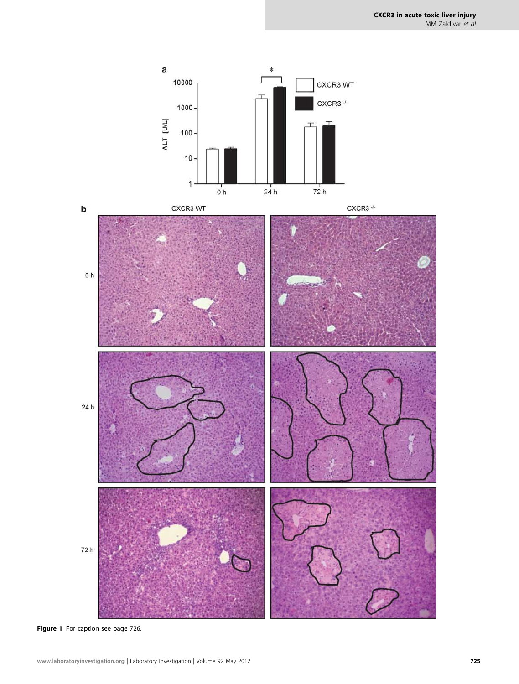<span id="page-1-0"></span>

Figure 1 For caption see page 726.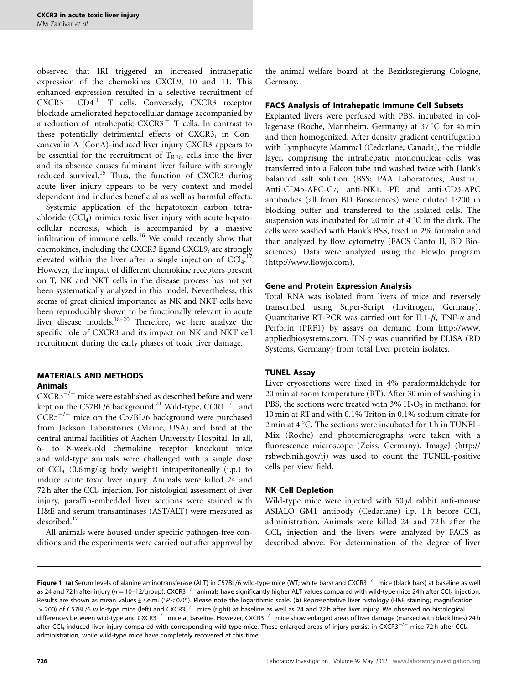observed that IRI triggered an increased intrahepatic expression of the chemokines CXCL9, 10 and 11. This enhanced expression resulted in a selective recruitment of  $CXCR3$ <sup>+</sup>  $CD4$ <sup>+</sup> T cells. Conversely, CXCR3 receptor blockade ameliorated hepatocellular damage accompanied by a reduction of intrahepatic  $CXCR3$ <sup>+</sup> T cells. In contrast to these potentially detrimental effects of CXCR3, in Concanavalin A (ConA)-induced liver injury CXCR3 appears to be essential for the recruitment of  $T_{REG}$  cells into the liver and its absence causes fulminant liver failure with strongly reduced survival.<sup>[15](#page-9-0)</sup> Thus, the function of CXCR3 during acute liver injury appears to be very context and model dependent and includes beneficial as well as harmful effects.

Systemic application of the hepatotoxin carbon tetrachloride  $(CCl<sub>4</sub>)$  mimics toxic liver injury with acute hepatocellular necrosis, which is accompanied by a massive infiltration of immune cells.<sup>[16](#page-9-0)</sup> We could recently show that chemokines, including the CXCR3 ligand CXCL9, are strongly elevated within the liver after a single injection of  $\text{CCI}_4$ .<sup>[17](#page-9-0)</sup> However, the impact of different chemokine receptors present on T, NK and NKT cells in the disease process has not yet been systematically analyzed in this model. Nevertheless, this seems of great clinical importance as NK and NKT cells have been reproducibly shown to be functionally relevant in acute liver disease models.<sup>[18–20](#page-9-0)</sup> Therefore, we here analyze the specific role of CXCR3 and its impact on NK and NKT cell recruitment during the early phases of toxic liver damage.

#### MATERIALS AND METHODS Animals

 $CXCR3^{-/-}$  mice were established as described before and were kept on the C57BL/6 background. $^{21}$  Wild-type,  ${\rm CCR1}^{-/-}$  and CCR5<sup>-/-</sup> mice on the C57BL/6 background were purchased from Jackson Laboratories (Maine, USA) and bred at the central animal facilities of Aachen University Hospital. In all, 6- to 8-week-old chemokine receptor knockout mice and wild-type animals were challenged with a single dose of  $\text{CCl}_4$  (0.6 mg/kg body weight) intraperitoneally (i.p.) to induce acute toxic liver injury. Animals were killed 24 and 72 h after the  $\text{CCL}_4$  injection. For histological assessment of liver injury, paraffin-embedded liver sections were stained with H&E and serum transaminases (AST/ALT) were measured as described.<sup>17</sup>

All animals were housed under specific pathogen-free conditions and the experiments were carried out after approval by the animal welfare board at the Bezirksregierung Cologne, Germany.

## FACS Analysis of Intrahepatic Immune Cell Subsets

Explanted livers were perfused with PBS, incubated in collagenase (Roche, Mannheim, Germany) at 37 °C for 45 min and then homogenized. After density gradient centrifugation with Lymphocyte Mammal (Cedarlane, Canada), the middle layer, comprising the intrahepatic mononuclear cells, was transferred into a Falcon tube and washed twice with Hank's balanced salt solution (BSS; PAA Laboratories, Austria). Anti-CD45-APC-C7, anti-NK1.1-PE and anti-CD3-APC antibodies (all from BD Biosciences) were diluted 1:200 in blocking buffer and transferred to the isolated cells. The suspension was incubated for 20 min at  $4^{\circ}$ C in the dark. The cells were washed with Hank's BSS, fixed in 2% formalin and than analyzed by flow cytometry (FACS Canto II, BD Biosciences). Data were analyzed using the FlowJo program [\(http://www.flowjo.com\)](http://www.flowjo.com).

## Gene and Protein Expression Analysis

Total RNA was isolated from livers of mice and reversely transcribed using Super-Script (Invitrogen, Germany). Quantitative RT-PCR was carried out for IL1- $\beta$ , TNF- $\alpha$  and Perforin (PRF1) by assays on demand from [http://www.](http://www.appliedbiosystems.com) [appliedbiosystems.com.](http://www.appliedbiosystems.com) IFN- $\gamma$  was quantified by ELISA (RD Systems, Germany) from total liver protein isolates.

#### TUNEL Assay

Liver cryosections were fixed in 4% paraformaldehyde for 20 min at room temperature (RT). After 30 min of washing in PBS, the sections were treated with 3%  $H_2O_2$  in methanol for 10 min at RT and with 0.1% Triton in 0.1% sodium citrate for 2 min at  $4^{\circ}$ C. The sections were incubated for 1 h in TUNEL-Mix (Roche) and photomicrographs were taken with a fluorescence microscope (Zeiss, Germany). ImageJ [\(http://](http://rsbweb.nih.gov/ij) [rsbweb.nih.gov/ij](http://rsbweb.nih.gov/ij)) was used to count the TUNEL-positive cells per view field.

#### NK Cell Depletion

Wild-type mice were injected with  $50 \mu l$  rabbit anti-mouse ASIALO GM1 antibody (Cedarlane) i.p. 1 h before CCl4 administration. Animals were killed 24 and 72 h after the  $CCl<sub>4</sub>$  injection and the livers were analyzed by FACS as described above. For determination of the degree of liver

Figure 1 (a) Serum levels of alanine aminotransferase (ALT) in C57BL/6 wild-type mice (WT; white bars) and CXCR3<sup>-/-</sup> mice (black bars) at baseline as well as 24 and 72 h after injury ( $n=10$ –12/group). CXCR3 $^{-/-}$  animals have significantly higher ALT values compared with wild-type mice 24 h after CCl<sub>4</sub> injection. Results are shown as mean values ± s.e.m. (\*P<0.05). Please note the logarithmic scale. (b) Representative liver histology (H&E staining; magnification  $\times$  200) of C57BL/6 wild-type mice (left) and CXCR3<sup>-/-</sup> mice (right) at baseline as well as 24 and 72 h after liver injury. We observed no histological differences between wild-type and CXCR3 $^{-/-}$  mice at baseline. However, CXCR3 $^{-/-}$  mice show enlarged areas of liver damage (marked with black lines) 24 h after CCl<sub>4</sub>-induced liver injury compared with corresponding wild-type mice. These enlarged areas of injury persist in CXCR3<sup>-/-</sup> mice 72 h after CCl<sub>4</sub> administration, while wild-type mice have completely recovered at this time.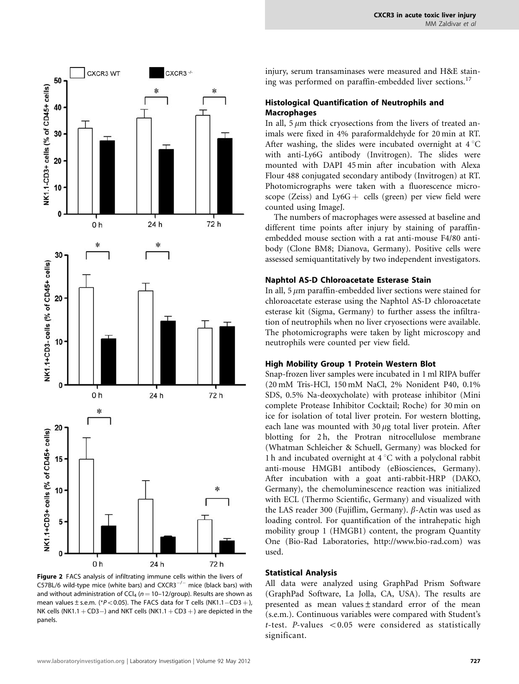<span id="page-3-0"></span>

Figure 2 FACS analysis of infiltrating immune cells within the livers of C57BL/6 wild-type mice (white bars) and  $CXCR3^{-/-}$  mice (black bars) with and without administration of CCl<sub>4</sub> ( $n = 10-12$ /group). Results are shown as mean values  $\pm$  s.e.m. (\* $P$  < 0.05). The FACS data for T cells (NK1.1-CD3 +), NK cells (NK1.1  $+$  CD3 $-$ ) and NKT cells (NK1.1  $+$  CD3  $+$ ) are depicted in the panels.

injury, serum transaminases were measured and H&E stain-ing was performed on paraffin-embedded liver sections.<sup>[17](#page-9-0)</sup>

# Histological Quantification of Neutrophils and Macrophages

In all,  $5 \mu m$  thick cryosections from the livers of treated animals were fixed in 4% paraformaldehyde for 20 min at RT. After washing, the slides were incubated overnight at  $4^{\circ}$ C with anti-Ly6G antibody (Invitrogen). The slides were mounted with DAPI 45 min after incubation with Alexa Flour 488 conjugated secondary antibody (Invitrogen) at RT. Photomicrographs were taken with a fluorescence microscope (Zeiss) and  $Ly6G +$  cells (green) per view field were counted using ImageJ.

The numbers of macrophages were assessed at baseline and different time points after injury by staining of paraffinembedded mouse section with a rat anti-mouse F4/80 antibody (Clone BM8; Dianova, Germany). Positive cells were assessed semiquantitatively by two independent investigators.

## Naphtol AS-D Chloroacetate Esterase Stain

In all,  $5 \mu m$  paraffin-embedded liver sections were stained for chloroacetate esterase using the Naphtol AS-D chloroacetate esterase kit (Sigma, Germany) to further assess the infiltration of neutrophils when no liver cryosections were available. The photomicrographs were taken by light microscopy and neutrophils were counted per view field.

# High Mobility Group 1 Protein Western Blot

Snap-frozen liver samples were incubated in 1 ml RIPA buffer (20 mM Tris-HCl, 150 mM NaCl, 2% Nonident P40, 0.1% SDS, 0.5% Na-deoxycholate) with protease inhibitor (Mini complete Protease Inhibitor Cocktail; Roche) for 30 min on ice for isolation of total liver protein. For western blotting, each lane was mounted with  $30 \mu$ g total liver protein. After blotting for 2h, the Protran nitrocellulose membrane (Whatman Schleicher & Schuell, Germany) was blocked for 1 h and incubated overnight at  $4^{\circ}$ C with a polyclonal rabbit anti-mouse HMGB1 antibody (eBiosciences, Germany). After incubation with a goat anti-rabbit-HRP (DAKO, Germany), the chemoluminescence reaction was initialized with ECL (Thermo Scientific, Germany) and visualized with the LAS reader 300 (Fujiflim, Germany).  $\beta$ -Actin was used as loading control. For quantification of the intrahepatic high mobility group 1 (HMGB1) content, the program Quantity One (Bio-Rad Laboratories, [http://www.bio-rad.com\)](http://www.bio-rad.com) was used.

#### Statistical Analysis

All data were analyzed using GraphPad Prism Software (GraphPad Software, La Jolla, CA, USA). The results are presented as mean values±standard error of the mean (s.e.m.). Continuous variables were compared with Student's t-test. P-values  $< 0.05$  were considered as statistically significant.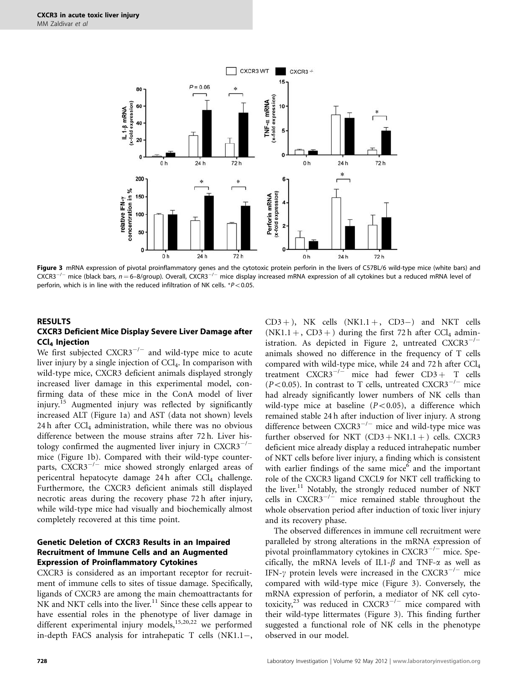<span id="page-4-0"></span>

Figure 3 mRNA expression of pivotal proinflammatory genes and the cytotoxic protein perforin in the livers of C57BL/6 wild-type mice (white bars) and CXCR3<sup>-/-</sup> mice (black bars, n=6-8/group). Overall, CXCR3<sup>-/-</sup> mice display increased mRNA expression of all cytokines but a reduced mRNA level of perforin, which is in line with the reduced infiltration of NK cells.  $*P<0.05$ .

## RESULTS CXCR3 Deficient Mice Display Severe Liver Damage after CCl4 Injection

We first subjected  $CXCR3^{-/-}$  and wild-type mice to acute liver injury by a single injection of  $\text{CC}l_4$ . In comparison with wild-type mice, CXCR3 deficient animals displayed strongly increased liver damage in this experimental model, confirming data of these mice in the ConA model of liver injury.<sup>[15](#page-9-0)</sup> Augmented injury was reflected by significantly increased ALT [\(Figure 1a\)](#page-1-0) and AST (data not shown) levels  $24 h$  after CCl<sub>4</sub> administration, while there was no obvious difference between the mouse strains after 72 h. Liver histology confirmed the augmented liver injury in  $CXCR3^{-/-}$ mice ([Figure 1b](#page-1-0)). Compared with their wild-type counterparts, CXCR3<sup>-/-</sup> mice showed strongly enlarged areas of pericentral hepatocyte damage 24 $h$  after CCl<sub>4</sub> challenge. Furthermore, the CXCR3 deficient animals still displayed necrotic areas during the recovery phase 72 h after injury, while wild-type mice had visually and biochemically almost completely recovered at this time point.

#### Genetic Deletion of CXCR3 Results in an Impaired Recruitment of Immune Cells and an Augmented Expression of Proinflammatory Cytokines

CXCR3 is considered as an important receptor for recruitment of immune cells to sites of tissue damage. Specifically, ligands of CXCR3 are among the main chemoattractants for  $NK$  and NKT cells into the liver.<sup>[11](#page-9-0)</sup> Since these cells appear to have essential roles in the phenotype of liver damage in different experimental injury models,<sup>15,20,22</sup> we performed in-depth FACS analysis for intrahepatic T cells (NK1.1-,

 $CD3 +$ ), NK cells  $(NK1.1 +, CD3-)$  and NKT cells  $(NK1.1 +, CD3 +)$  during the first 72 h after CCl<sub>4</sub> admin-istration. As depicted in [Figure 2,](#page-3-0) untreated  $CXCR3^{-/-}$ animals showed no difference in the frequency of T cells compared with wild-type mice, while 24 and 72 h after  $CCl<sub>4</sub>$ treatment  $CXCR3^{-/-}$  mice had fewer  $CD3 + T$  cells ( $P$ <0.05). In contrast to T cells, untreated CXCR3<sup>-/-</sup> mice had already significantly lower numbers of NK cells than wild-type mice at baseline  $(P<0.05)$ , a difference which remained stable 24 h after induction of liver injury. A strong difference between  $CXCR3^{-/-}$  mice and wild-type mice was further observed for NKT  $(CD3 + NK1.1 + )$  cells. CXCR3 deficient mice already display a reduced intrahepatic number of NKT cells before liver injury, a finding which is consistent with earlier findings of the same mice $<sup>6</sup>$  $<sup>6</sup>$  $<sup>6</sup>$  and the important</sup> role of the CXCR3 ligand CXCL9 for NKT cell trafficking to the liver.<sup>[11](#page-9-0)</sup> Notably, the strongly reduced number of NKT cells in  $CXCR3^{-/-}$  mice remained stable throughout the whole observation period after induction of toxic liver injury and its recovery phase.

The observed differences in immune cell recruitment were paralleled by strong alterations in the mRNA expression of pivotal proinflammatory cytokines in CXCR3<sup>-/-</sup> mice. Specifically, the mRNA levels of IL1- $\beta$  and TNF- $\alpha$  as well as IFN- $\gamma$  protein levels were increased in the CXCR3<sup>-/-</sup> mice compared with wild-type mice (Figure 3). Conversely, the mRNA expression of perforin, a mediator of NK cell cytotoxicity, $23$  was reduced in CXCR3<sup>-/-</sup> mice compared with their wild-type littermates (Figure 3). This finding further suggested a functional role of NK cells in the phenotype observed in our model.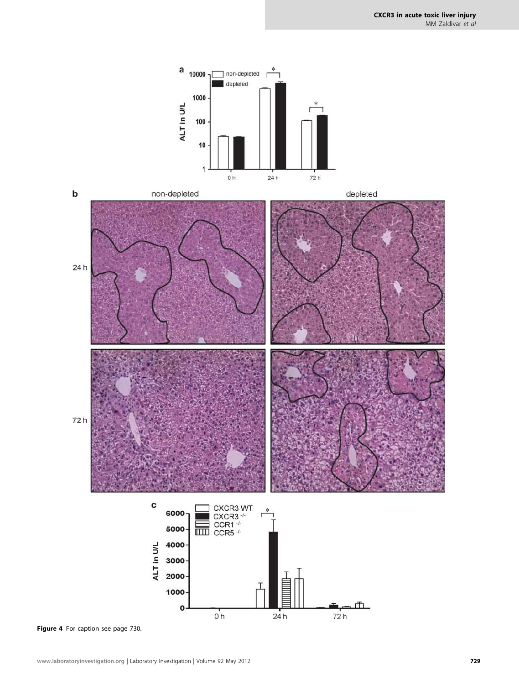<span id="page-5-0"></span>



Figure 4 For caption see page 730.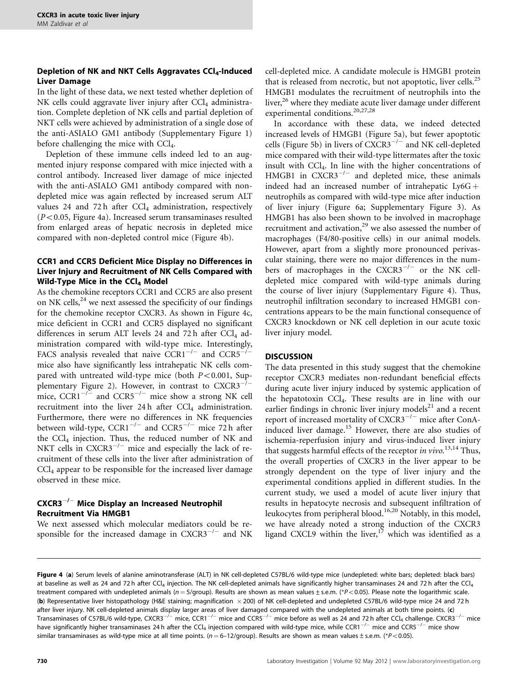# Depletion of NK and NKT Cells Aggravates CCl<sub>4</sub>-Induced Liver Damage

In the light of these data, we next tested whether depletion of NK cells could aggravate liver injury after  $\text{CC}l_{4}$  administration. Complete depletion of NK cells and partial depletion of NKT cells were achieved by administration of a single dose of the anti-ASIALO GM1 antibody (Supplementary Figure 1) before challenging the mice with CCl<sub>4</sub>.

Depletion of these immune cells indeed led to an augmented injury response compared with mice injected with a control antibody. Increased liver damage of mice injected with the anti-ASIALO GM1 antibody compared with nondepleted mice was again reflected by increased serum ALT values 24 and 72 h after  $CCl<sub>4</sub>$  administration, respectively  $(P<0.05$ , [Figure 4a\)](#page-5-0). Increased serum transaminases resulted from enlarged areas of hepatic necrosis in depleted mice compared with non-depleted control mice ([Figure 4b](#page-5-0)).

# CCR1 and CCR5 Deficient Mice Display no Differences in Liver Injury and Recruitment of NK Cells Compared with Wild-Type Mice in the  $CCl<sub>4</sub>$  Model

As the chemokine receptors CCR1 and CCR5 are also present on NK cells, $^{24}$  $^{24}$  $^{24}$  we next assessed the specificity of our findings for the chemokine receptor CXCR3. As shown in [Figure 4c](#page-5-0), mice deficient in CCR1 and CCR5 displayed no significant differences in serum ALT levels 24 and 72 h after  $CCl<sub>4</sub>$  administration compared with wild-type mice. Interestingly, FACS analysis revealed that naive  $CCR1^{-/-}$  and  $CCR5^{-/-}$ mice also have significantly less intrahepatic NK cells compared with untreated wild-type mice (both  $P<0.001$ , Supplementary Figure 2). However, in contrast to  $CXCR3^{-7-}$ mice,  $CCR1^{-/-}$  and  $CCR5^{-/-}$  mice show a strong NK cell recruitment into the liver 24 h after  $CCl<sub>4</sub>$  administration. Furthermore, there were no differences in NK frequencies between wild-type,  ${CCR1}^{-/-}$  and  ${CCR5}^{-/-}$  mice 72 h after the CCl<sub>4</sub> injection. Thus, the reduced number of NK and NKT cells in  $CXCR3^{-/-}$  mice and especially the lack of recruitment of these cells into the liver after administration of CCl4 appear to be responsible for the increased liver damage observed in these mice.

# $\mathsf{C}\mathsf{XCR3}^{-/-}$  Mice Display an Increased Neutrophil Recruitment Via HMGB1

We next assessed which molecular mediators could be responsible for the increased damage in  $CXCR3^{-/-}$  and NK cell-depleted mice. A candidate molecule is HMGB1 protein that is released from necrotic, but not apoptotic, liver cells.<sup>[25](#page-10-0)</sup> HMGB1 modulates the recruitment of neutrophils into the liver,<sup>[26](#page-10-0)</sup> where they mediate acute liver damage under different experimental conditions.<sup>[20,27,28](#page-9-0)</sup>

In accordance with these data, we indeed detected increased levels of HMGB1 ([Figure 5a\)](#page-7-0), but fewer apoptotic cells ([Figure 5b](#page-7-0)) in livers of CXCR3<sup>-/-</sup> and NK cell-depleted mice compared with their wild-type littermates after the toxic insult with CCl4. In line with the higher concentrations of HMGB1 in  $CXCR3^{-/-}$  and depleted mice, these animals indeed had an increased number of intrahepatic  $Ly6G +$ neutrophils as compared with wild-type mice after induction of liver injury [\(Figure 6a](#page-7-0); Supplementary Figure 3). As HMGB1 has also been shown to be involved in macrophage recruitment and activation,<sup>[29](#page-10-0)</sup> we also assessed the number of macrophages (F4/80-positive cells) in our animal models. However, apart from a slightly more pronounced perivascular staining, there were no major differences in the numbers of macrophages in the  $\text{CXCR3}^{-/-}$  or the NK celldepleted mice compared with wild-type animals during the course of liver injury (Supplementary Figure 4). Thus, neutrophil infiltration secondary to increased HMGB1 concentrations appears to be the main functional consequence of CXCR3 knockdown or NK cell depletion in our acute toxic liver injury model.

# **DISCUSSION**

The data presented in this study suggest that the chemokine receptor CXCR3 mediates non-redundant beneficial effects during acute liver injury induced by systemic application of the hepatotoxin CCl4. These results are in line with our earlier findings in chronic liver injury models<sup>21</sup> and a recent report of increased mortality of CXCR3<sup>-/-</sup> mice after ConA-induced liver damage.<sup>[15](#page-9-0)</sup> However, there are also studies of ischemia-reperfusion injury and virus-induced liver injury that suggests harmful effects of the receptor in vivo.<sup>[13,14](#page-9-0)</sup> Thus, the overall properties of CXCR3 in the liver appear to be strongly dependent on the type of liver injury and the experimental conditions applied in different studies. In the current study, we used a model of acute liver injury that results in hepatocyte necrosis and subsequent infiltration of leukocytes from peripheral blood.<sup>[16,20](#page-9-0)</sup> Notably, in this model, we have already noted a strong induction of the CXCR3 ligand CXCL9 within the liver,<sup>[17](#page-9-0)</sup> which was identified as a

Figure 4 (a) Serum levels of alanine aminotransferase (ALT) in NK cell-depleted C57BL/6 wild-type mice (undepleted: white bars; depleted: black bars) at baseline as well as 24 and 72 h after CCl<sub>4</sub> injection. The NK cell-depleted animals have significantly higher transaminases 24 and 72 h after the CCl<sub>4</sub> treatment compared with undepleted animals ( $n = 5$ /group). Results are shown as mean values ± s.e.m. (\*P<0.05). Please note the logarithmic scale. (b) Representative liver histopathology (H&E staining; magnification 200) of NK cell-depleted and undepleted C57BL/6 wild-type mice 24 and 72 h after liver injury. NK cell-depleted animals display larger areas of liver damaged compared with the undepleted animals at both time points. (c) Transaminases of C57BL/6 wild-type, CXCR3<sup>-/-</sup> mice, CCR1<sup>-/-</sup> mice and CCR5<sup>-/-</sup> mice before as well as 24 and 72 h after CCl<sub>4</sub> challenge. CXCR3<sup>-/-</sup> mice have significantly higher transaminases 24 h after the CCl<sub>4</sub> injection compared with wild-type mice, while CCR1<sup>-/-</sup> mice and CCR5<sup>-/-</sup> mice show similar transaminases as wild-type mice at all time points. ( $n = 6-12/group$ ). Results are shown as mean values ± s.e.m. (\*P<0.05).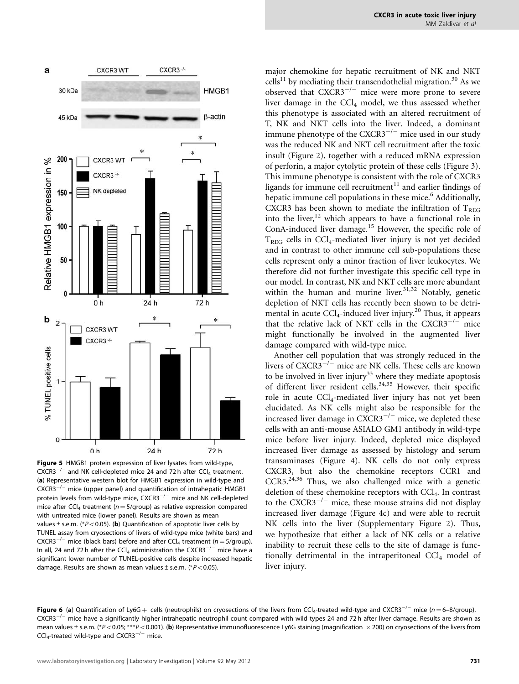

<span id="page-7-0"></span>

Figure 5 HMGB1 protein expression of liver lysates from wild-type,  $\text{CXCR3}^{-/-}$  and NK cell-depleted mice 24 and 72 h after CCl<sub>4</sub> treatment. (a) Representative western blot for HMGB1 expression in wild-type and  $CXCR3^{-/-}$  mice (upper panel) and quantification of intrahepatic HMGB1 protein levels from wild-type mice,  $\mathsf{CXCR3}^{-/-}$  mice and NK cell-depleted mice after CCl<sub>4</sub> treatment ( $n = 5$ /qroup) as relative expression compared with untreated mice (lower panel). Results are shown as mean values  $\pm$  s.e.m. (\*P<0.05). (b) Quantification of apoptotic liver cells by TUNEL assay from cryosections of livers of wild-type mice (white bars) and  $CXCR3^{-/-}$  mice (black bars) before and after  $CCl_4$  treatment (n = 5/group). In all, 24 and 72 h after the CCl<sub>4</sub> administration the CXCR3<sup>-/-</sup> mice have a significant lower number of TUNEL-positive cells despite increased hepatic damage. Results are shown as mean values  $\pm$  s.e.m. (\*P<0.05).

major chemokine for hepatic recruitment of NK and NKT  $\text{cells}^{11}$  by mediating their transendothelial migration.<sup>[30](#page-10-0)</sup> As we observed that  $CXCR3^{-/-}$  mice were more prone to severe liver damage in the  $CCl<sub>4</sub>$  model, we thus assessed whether this phenotype is associated with an altered recruitment of T, NK and NKT cells into the liver. Indeed, a dominant immune phenotype of the  $CXCR3^{-/-}$  mice used in our study was the reduced NK and NKT cell recruitment after the toxic insult [\(Figure 2\)](#page-3-0), together with a reduced mRNA expression of perforin, a major cytolytic protein of these cells ([Figure 3\)](#page-4-0). This immune phenotype is consistent with the role of CXCR3 ligands for immune cell recruitment $11$  and earlier findings of hepatic immune cell populations in these mice.<sup>6</sup> Additionally, CXCR3 has been shown to mediate the infiltration of  $T_{REG}$ into the liver, $12$  which appears to have a functional role in ConA-induced liver damage.<sup>[15](#page-9-0)</sup> However, the specific role of  $T<sub>REG</sub>$  cells in CCl<sub>4</sub>-mediated liver injury is not yet decided and in contrast to other immune cell sub-populations these cells represent only a minor fraction of liver leukocytes. We therefore did not further investigate this specific cell type in our model. In contrast, NK and NKT cells are more abundant within the human and murine liver. $31,32$  Notably, genetic depletion of NKT cells has recently been shown to be detrimental in acute  $\text{CCl}_4$ -induced liver injury.<sup>[20](#page-9-0)</sup> Thus, it appears that the relative lack of NKT cells in the  $CXCR3^{-/-}$  mice might functionally be involved in the augmented liver damage compared with wild-type mice.

Another cell population that was strongly reduced in the livers of  $CXCR3^{-/2}$  mice are NK cells. These cells are known to be involved in liver injury<sup>[33](#page-10-0)</sup> where they mediate apoptosis of different liver resident cells.<sup>[34,35](#page-10-0)</sup> However, their specific role in acute CCl<sub>4</sub>-mediated liver injury has not yet been elucidated. As NK cells might also be responsible for the increased liver damage in  $\text{CXCR3}^{-/-}$  mice, we depleted these cells with an anti-mouse ASIALO GM1 antibody in wild-type mice before liver injury. Indeed, depleted mice displayed increased liver damage as assessed by histology and serum transaminases ([Figure 4](#page-5-0)). NK cells do not only express CXCR3, but also the chemokine receptors CCR1 and CCR5.<sup>24,36</sup> Thus, we also challenged mice with a genetic deletion of these chemokine receptors with CCl<sub>4</sub>. In contrast to the  $CXCR3^{-/-}$  mice, these mouse strains did not display increased liver damage [\(Figure 4c](#page-5-0)) and were able to recruit NK cells into the liver (Supplementary Figure 2). Thus, we hypothesize that either a lack of NK cells or a relative inability to recruit these cells to the site of damage is functionally detrimental in the intraperitoneal  $\text{Cl}_4$  model of liver injury.

**Figure 6** (a) Quantification of Ly6G  $+$  cells (neutrophils) on cryosections of the livers from CCl<sub>4</sub>-treated wild-type and CXCR3<sup>-/–</sup> mice (n=6–8/group).  $\mathsf{CXCR3}^{-/-}$  mice have a significantly higher intrahepatic neutrophil count compared with wild types 24 and 72 h after liver damage. Results are shown as mean values  $\pm$  s.e.m. (\*P<0.05; \*\*\*P<0.001). (b) Representative immunofluorescence Ly6G staining (magnification  $\times$  200) on cryosections of the livers from  $\textsf{CCl}_4\textsf{-treated}$  wild-type and  $\textsf{CXCR3}^{-/-}$  mice.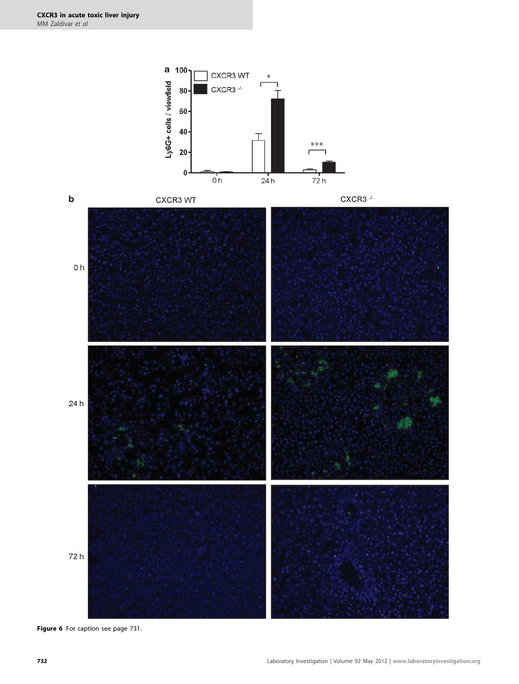

Figure 6 For caption see page 731.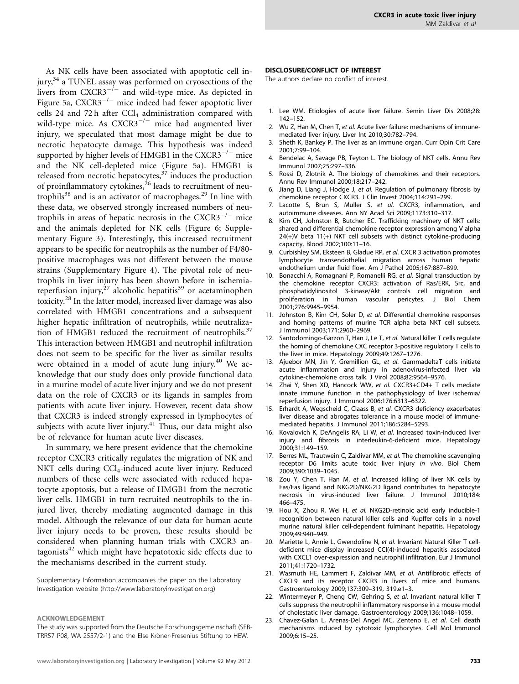<span id="page-9-0"></span>As NK cells have been associated with apoptotic cell in-jury,<sup>[34](#page-10-0)</sup> a TUNEL assay was performed on cryosections of the livers from  $CXCR3^{-1-}$  and wild-type mice. As depicted in [Figure 5a](#page-7-0), CXCR3<sup>-/-</sup> mice indeed had fewer apoptotic liver cells 24 and 72 h after  $CCl_4$  administration compared with wild-type mice. As  $CXCR3^{-/-}$  mice had augmented liver injury, we speculated that most damage might be due to necrotic hepatocyte damage. This hypothesis was indeed supported by higher levels of HMGB1 in the CXCR3 $^{-/-}$  mice and the NK cell-depleted mice ([Figure 5a\)](#page-7-0). HMGB1 is released from necrotic hepatocytes, $37$  induces the production of proinflammatory cytokines,<sup>[26](#page-10-0)</sup> leads to recruitment of neu-trophils<sup>[38](#page-10-0)</sup> and is an activator of macrophages.<sup>[29](#page-10-0)</sup> In line with these data, we observed strongly increased numbers of neutrophils in areas of hepatic necrosis in the  $CXCR3^{-/-}$  mice and the animals depleted for NK cells [\(Figure 6;](#page-7-0) Supplementary Figure 3). Interestingly, this increased recruitment appears to be specific for neutrophils as the number of F4/80 positive macrophages was not different between the mouse strains (Supplementary Figure 4). The pivotal role of neutrophils in liver injury has been shown before in ischemiareperfusion injury, $^{27}$  $^{27}$  $^{27}$  alcoholic hepatitis<sup>[39](#page-10-0)</sup> or acetaminophen toxicity.<sup>28</sup> In the latter model, increased liver damage was also correlated with HMGB1 concentrations and a subsequent higher hepatic infiltration of neutrophils, while neutraliza-tion of HMGB1 reduced the recruitment of neutrophils.<sup>[37](#page-10-0)</sup> This interaction between HMGB1 and neutrophil infiltration does not seem to be specific for the liver as similar results were obtained in a model of acute lung injury.<sup>[40](#page-10-0)</sup> We acknowledge that our study does only provide functional data in a murine model of acute liver injury and we do not present data on the role of CXCR3 or its ligands in samples from patients with acute liver injury. However, recent data show that CXCR3 is indeed strongly expressed in lymphocytes of subjects with acute liver injury. $41$  Thus, our data might also be of relevance for human acute liver diseases.

In summary, we here present evidence that the chemokine receptor CXCR3 critically regulates the migration of NK and NKT cells during CCl<sub>4</sub>-induced acute liver injury. Reduced numbers of these cells were associated with reduced hepatocyte apoptosis, but a release of HMGB1 from the necrotic liver cells. HMGB1 in turn recruited neutrophils to the injured liver, thereby mediating augmented damage in this model. Although the relevance of our data for human acute liver injury needs to be proven, these results should be considered when planning human trials with CXCR3 antagonists $42$  which might have hepatotoxic side effects due to the mechanisms described in the current study.

Supplementary Information accompanies the paper on the Laboratory Investigation website [\(http://www.laboratoryinvestigation.org](http://www.laboratoryinvestigation.org))

#### ACKNOWLEDGEMENT

The study was supported from the Deutsche Forschungsgemeinschaft (SFB-TRR57 P08, WA 2557/2-1) and the Else Kröner-Fresenius Stiftung to HEW.

#### DISCLOSURE/CONFLICT OF INTEREST

The authors declare no conflict of interest.

- 1. Lee WM. Etiologies of acute liver failure. Semin Liver Dis 2008;28: 142–152.
- 2. Wu Z, Han M, Chen T, et al. Acute liver failure: mechanisms of immunemediated liver injury. Liver Int 2010;30:782–794.
- 3. Sheth K, Bankey P. The liver as an immune organ. Curr Opin Crit Care 2001;7:99–104.
- 4. Bendelac A, Savage PB, Teyton L. The biology of NKT cells. Annu Rev Immunol 2007;25:297–336.
- 5. Rossi D, Zlotnik A. The biology of chemokines and their receptors. Annu Rev Immunol 2000;18:217–242.
- 6. Jiang D, Liang J, Hodge J, et al. Regulation of pulmonary fibrosis by chemokine receptor CXCR3. J Clin Invest 2004;114:291–299.
- 7. Lacotte S, Brun S, Muller S, et al. CXCR3, inflammation, and autoimmune diseases. Ann NY Acad Sci 2009;1173:310–317.
- 8. Kim CH, Johnston B, Butcher EC. Trafficking machinery of NKT cells: shared and differential chemokine receptor expression among V alpha 24(+)V beta 11(+) NKT cell subsets with distinct cytokine-producing capacity. Blood 2002;100:11–16.
- 9. Curbishley SM, Eksteen B, Gladue RP, et al. CXCR 3 activation promotes lymphocyte transendothelial migration across human hepatic endothelium under fluid flow. Am J Pathol 2005;167:887–899.
- 10. Bonacchi A, Romagnani P, Romanelli RG, et al. Signal transduction by the chemokine receptor CXCR3: activation of Ras/ERK, Src, and phosphatidylinositol 3-kinase/Akt controls cell migration and proliferation in human vascular pericytes. J Biol Chem 2001;276:9945–9954.
- 11. Johnston B, Kim CH, Soler D, et al. Differential chemokine responses and homing patterns of murine TCR alpha beta NKT cell subsets. J Immunol 2003;171:2960–2969.
- 12. Santodomingo-Garzon T, Han J, Le T, et al. Natural killer T cells regulate the homing of chemokine CXC receptor 3-positive regulatory T cells to the liver in mice. Hepatology 2009;49:1267–1276.
- 13. Ajuebor MN, Jin Y, Gremillion GL, et al. GammadeltaT cells initiate acute inflammation and injury in adenovirus-infected liver via cytokine-chemokine cross talk. J Virol 2008;82:9564–9576.
- 14. Zhai Y, Shen XD, Hancock WW, et al. CXCR3+CD4+ T cells mediate innate immune function in the pathophysiology of liver ischemia/ reperfusion injury. J Immunol 2006;176:6313–6322.
- 15. Erhardt A, Wegscheid C, Claass B, et al. CXCR3 deficiency exacerbates liver disease and abrogates tolerance in a mouse model of immunemediated hepatitis. J Immunol 2011;186:5284–5293.
- 16. Kovalovich K, DeAngelis RA, Li W, et al. Increased toxin-induced liver injury and fibrosis in interleukin-6-deficient mice. Hepatology 2000;31:149–159.
- 17. Berres ML, Trautwein C, Zaldivar MM, et al. The chemokine scavenging receptor D6 limits acute toxic liver injury in vivo. Biol Chem 2009;390:1039–1045.
- 18. Zou Y, Chen T, Han M, et al. Increased killing of liver NK cells by Fas/Fas ligand and NKG2D/NKG2D ligand contributes to hepatocyte necrosis in virus-induced liver failure. J Immunol 2010;184: 466–475.
- 19. Hou X, Zhou R, Wei H, et al. NKG2D-retinoic acid early inducible-1 recognition between natural killer cells and Kupffer cells in a novel murine natural killer cell-dependent fulminant hepatitis. Hepatology 2009;49:940–949.
- 20. Mariette L, Annie L, Gwendoline N, et al. Invariant Natural Killer T celldeficient mice display increased CCl(4)-induced hepatitis associated with CXCL1 over-expression and neutrophil infiltration. Eur J Immunol 2011;41:1720–1732.
- 21. Wasmuth HE, Lammert F, Zaldivar MM, et al. Antifibrotic effects of CXCL9 and its receptor CXCR3 in livers of mice and humans. Gastroenterology 2009;137:309–319, 319.e1–3.
- 22. Wintermeyer P, Cheng CW, Gehring S, et al. Invariant natural killer T cells suppress the neutrophil inflammatory response in a mouse model of cholestatic liver damage. Gastroenterology 2009;136:1048–1059.
- 23. Chavez-Galan L, Arenas-Del Angel MC, Zenteno E, et al. Cell death mechanisms induced by cytotoxic lymphocytes. Cell Mol Immunol 2009;6:15–25.